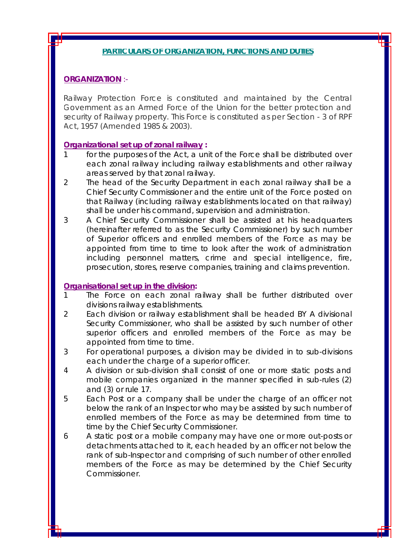### **PARTICULARS OF ORGANIZATION, FUNCTIONS AND DUTIES**

### **ORGANIZATION** :-

Railway Protection Force is constituted and maintained by the Central Government as an Armed Force of the Union for the better protection and security of Railway property. This Force is constituted as per Section - 3 of RPF Act, 1957 (Amended 1985 & 2003).

### **Organizational set up of zonal railway :**

- for the purposes of the Act, a unit of the Force shall be distributed over each zonal railway including railway establishments and other railway areas served by that zonal railway.
- 2 The head of the Security Department in each zonal railway shall be a Chief Security Commissioner and the entire unit of the Force posted on that Railway (including railway establishments located on that railway) shall be under his command, supervision and administration.
- 3 A Chief Security Commissioner shall be assisted at his headquarters (hereinafter referred to as the Security Commissioner) by such number of Superior officers and enrolled members of the Force as may be appointed from time to time to look after the work of administration including personnel matters, crime and special intelligence, fire, prosecution, stores, reserve companies, training and claims prevention.

#### **Organisational set up in the division:**

- 1 The Force on each zonal railway shall be further distributed over divisions railway establishments.
- 2 Each division or railway establishment shall be headed BY A divisional Security Commissioner, who shall be assisted by such number of other superior officers and enrolled members of the Force as may be appointed from time to time.
- 3 For operational purposes, a division may be divided in to sub-divisions each under the charge of a superior officer.
- 4 A division or sub-division shall consist of one or more static posts and mobile companies organized in the manner specified in sub-rules (2) and (3) or rule 17.
- 5 Each Post or a company shall be under the charge of an officer not below the rank of an Inspector who may be assisted by such number of enrolled members of the Force as may be determined from time to time by the Chief Security Commissioner.
- 6 A static post or a mobile company may have one or more out-posts or detachments attached to it, each headed by an officer not below the rank of sub-Inspector and comprising of such number of other enrolled members of the Force as may be determined by the Chief Security Commissioner.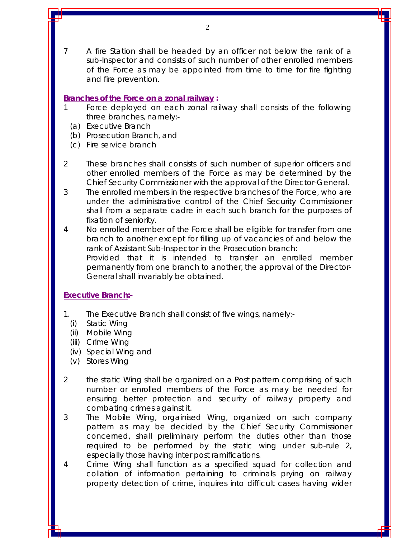7 A fire Station shall be headed by an officer not below the rank of a sub-Inspector and consists of such number of other enrolled members of the Force as may be appointed from time to time for fire fighting and fire prevention.

## **Branches of the Force on a zonal railway :**

- Force deployed on each zonal railway shall consists of the following three branches, namely:-
- (a) Executive Branch
- (b) Prosecution Branch, and
- (c) Fire service branch
- 2 These branches shall consists of such number of superior officers and other enrolled members of the Force as may be determined by the Chief Security Commissioner with the approval of the Director-General.
- 3 The enrolled members in the respective branches of the Force, who are under the administrative control of the Chief Security Commissioner shall from a separate cadre in each such branch for the purposes of fixation of seniority.
- 4 No enrolled member of the Force shall be eligible for transfer from one branch to another except for filling up of vacancies of and below the rank of Assistant Sub-Inspector in the Prosecution branch: Provided that it is intended to transfer an enrolled member permanently from one branch to another, the approval of the Director-General shall invariably be obtained.

# **Executive Branch:-**

- 1. The Executive Branch shall consist of five wings, namely:-
	- (i) Static Wing
	- (ii) Mobile Wing
	- (iii) Crime Wing
	- (iv) Special Wing and
	- (v) Stores Wing
- 2 the static Wing shall be organized on a Post pattern comprising of such number or enrolled members of the Force as may be needed for ensuring better protection and security of railway property and combating crimes against it.
- 3 The Mobile Wing, orgainised Wing, organized on such company pattern as may be decided by the Chief Security Commissioner concerned, shall preliminary perform the duties other than those required to be performed by the static wing under sub-rule 2, especially those having inter post ramifications.
- 4 Crime Wing shall function as a specified squad for collection and collation of information pertaining to criminals prying on railway property detection of crime, inquires into difficult cases having wider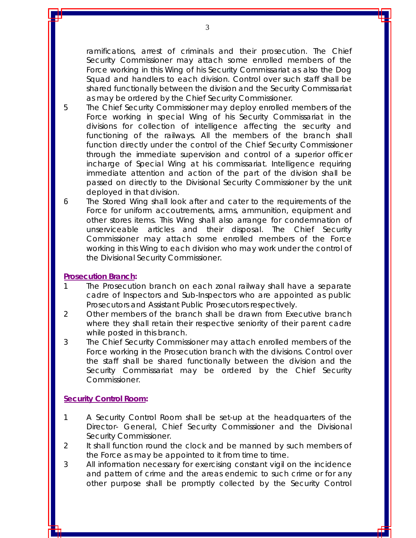ramifications, arrest of criminals and their prosecution. The Chief Security Commissioner may attach some enrolled members of the Force working in this Wing of his Security Commissariat as also the Dog Squad and handlers to each division. Control over such staff shall be shared functionally between the division and the Security Commissariat as may be ordered by the Chief Security Commissioner.

- 5 The Chief Security Commissioner may deploy enrolled members of the Force working in special Wing of his Security Commissariat in the divisions for collection of intelligence affecting the security and functioning of the railways. All the members of the branch shall function directly under the control of the Chief Security Commissioner through the immediate supervision and control of a superior officer incharge of Special Wing at his commissariat. Intelligence requiring immediate attention and action of the part of the division shall be passed on directly to the Divisional Security Commissioner by the unit deployed in that division.
- 6 The Stored Wing shall look after and cater to the requirements of the Force for uniform accoutrements, arms, ammunition, equipment and other stores items. This Wing shall also arrange for condemnation of unserviceable articles and their disposal. The Chief Security Commissioner may attach some enrolled members of the Force working in this Wing to each division who may work under the control of the Divisional Security Commissioner.

### **Prosecution Branch:**

- 1 The Prosecution branch on each zonal railway shall have a separate cadre of Inspectors and Sub-Inspectors who are appointed as public Prosecutors and Assistant Public Prosecutors respectively.
- 2 Other members of the branch shall be drawn from Executive branch where they shall retain their respective seniority of their parent cadre while posted in this branch.
- 3 The Chief Security Commissioner may attach enrolled members of the Force working in the Prosecution branch with the divisions. Control over the staff shall be shared functionally between the division and the Security Commissariat may be ordered by the Chief Security Commissioner.

## **Security Control Room:**

- 1 A Security Control Room shall be set-up at the headquarters of the Director- General, Chief Security Commissioner and the Divisional Security Commissioner.
- 2 It shall function round the clock and be manned by such members of the Force as may be appointed to it from time to time.
- 3 All information necessary for exercising constant vigil on the incidence and pattern of crime and the areas endemic to such crime or for any other purpose shall be promptly collected by the Security Control

3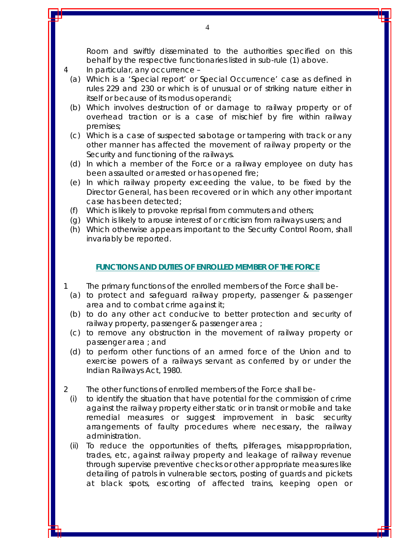Room and swiftly disseminated to the authorities specified on this behalf by the respective functionaries listed in sub-rule (1) above.

- 4 In particular, any occurrence
	- (a) Which is a 'Special report' or Special Occurrence' case as defined in rules 229 and 230 or which is of unusual or of striking nature either in itself or because of its modus operandi;
	- (b) Which involves destruction of or damage to railway property or of overhead traction or is a case of mischief by fire within railway premises;
	- (c) Which is a case of suspected sabotage or tampering with track or any other manner has affected the movement of railway property or the Security and functioning of the railways.
	- (d) In which a member of the Force or a railway employee on duty has been assaulted or arrested or has opened fire;
	- (e) In which railway property exceeding the value, to be fixed by the Director General, has been recovered or in which any other important case has been detected;
	- (f) Which is likely to provoke reprisal from commuters and others;
	- (g) Which is likely to arouse interest of or criticism from railways users; and
	- (h) Which otherwise appears important to the Security Control Room, shall invariably be reported.

#### **FUNCTIONS AND DUTIES OF ENROLLED MEMBER OF THE FORCE**

- 1 The primary functions of the enrolled members of the Force shall be-
	- (a) to protect and safeguard railway property, passenger & passenger area and to combat crime against it;
	- (b) to do any other act conducive to better protection and security of railway property, passenger & passenger area ;
	- (c) to remove any obstruction in the movement of railway property or passenger area ; and
	- (d) to perform other functions of an armed force of the Union and to exercise powers of a railways servant as conferred by or under the Indian Railways Act, 1980.
- 2 The other functions of enrolled members of the Force shall be-
	- (i) to identify the situation that have potential for the commission of crime against the railway property either static or in transit or mobile and take remedial measures or suggest improvement in basic security arrangements of faulty procedures where necessary, the railway administration.
	- (ii) To reduce the opportunities of thefts, pilferages, misappropriation, trades, etc, against railway property and leakage of railway revenue through supervise preventive checks or other appropriate measures like detailing of patrols in vulnerable sectors, posting of guards and pickets at black spots, escorting of affected trains, keeping open or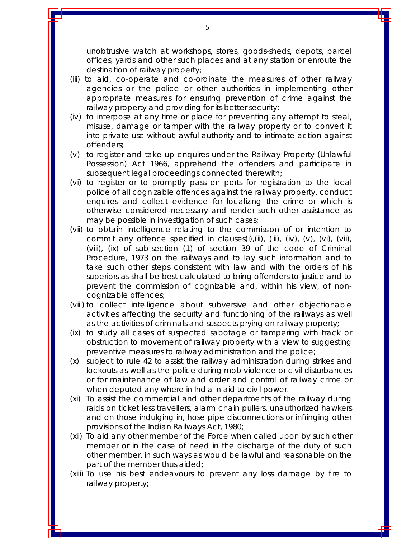unobtrusive watch at workshops, stores, goods-sheds, depots, parcel offices, yards and other such places and at any station or enroute the destination of railway property;

- (iii) to aid, co-operate and co-ordinate the measures of other railway agencies or the police or other authorities in implementing other appropriate measures for ensuring prevention of crime against the railway property and providing for its better security;
- (iv) to interpose at any time or place for preventing any attempt to steal, misuse, damage or tamper with the railway property or to convert it into private use without lawful authority and to intimate action against offenders;
- (v) to register and take up enquires under the Railway Property (Unlawful Possession) Act 1966, apprehend the offenders and participate in subsequent legal proceedings connected therewith;
- (vi) to register or to promptly pass on ports for registration to the local police of all cognizable offences against the railway property, conduct enquires and collect evidence for localizing the crime or which is otherwise considered necessary and render such other assistance as may be possible in investigation of such cases;
- (vii) to obtain intelligence relating to the commission of or intention to commit any offence specified in clauses(i),(ii), (iii), (iv), (v), (vi), (vii), (viii), (ix) of sub-section (1) of section 39 of the code of Criminal Procedure, 1973 on the railways and to lay such information and to take such other steps consistent with law and with the orders of his superiors as shall be best calculated to bring offenders to justice and to prevent the commission of cognizable and, within his view, of noncognizable offences;
- (viii) to collect intelligence about subversive and other objectionable activities affecting the security and functioning of the railways as well as the activities of criminals and suspects prying on railway property;
- (ix) to study all cases of suspected sabotage or tampering with track or obstruction to movement of railway property with a view to suggesting preventive measures to railway administration and the police;
- (x) subject to rule 42 to assist the railway administration during strikes and lockouts as well as the police during mob violence or civil disturbances or for maintenance of law and order and control of railway crime or when deputed any where in India in aid to civil power.
- (xi) To assist the commercial and other departments of the railway during raids on ticket less travellers, alarm chain pullers, unauthorized hawkers and on those indulging in, hose pipe disconnections or infringing other provisions of the Indian Railways Act, 1980;
- (xii) To aid any other member of the Force when called upon by such other member or in the case of need in the discharge of the duty of such other member, in such ways as would be lawful and reasonable on the part of the member thus aided;
- (xiii) To use his best endeavours to prevent any loss damage by fire to railway property;